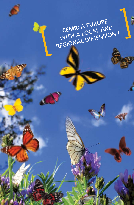## **CEMR:** A EUROPE CEMR: A LOCAL AND CEMR: A EUROPE<br>WITH A LOCAL AND<br>REGIONAL DIMENSION !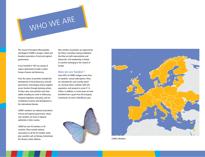

The Council of European Municipalities and Regions (CEMR) is Europe's oldest and broadest association of local and regional governments.

It was founded in 1951 by a group of mayors determined to build a united Europe of peace and democracy.

From the outset, its priorities included the development of local democracy and selfgovernment, and bringing citizens together across frontiers through twinning actions. To these aims, new priorities have been added, including our work in influencing European legislation and policy, and our contribution to peace and development in the international domain.

CEMR's members are national associations of local and regional government, whose own members are local or regional authorities in their country.

CEMR has over 50 members in 38 countries. These include national associations in all the EU member states plus countries such as Norway, Switzerland, the Ukraine, Serbia, Albania...

New member associations are approved by the Policy Committee, having established that they are both representative and democratic. Full membership is limited to countries belonging to the Council of Europe.

## **How we are funded ?**

Some 85% of CEMR's budget comes from its members' annual subscriptions. These are calculated for each country, based on a formula which combines GDP and population, and amounts to some € 1.6 million. In addition, in recent years we have benefited from a grant from the European Commission of some € 200,000 per year.





CEMR's Members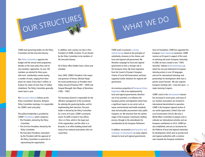

CEMR main governing bodies are the Policy Committee and the Executive Bureau.

The **Policy Committee** approves the budget and the annual work programme, decides on the main policy lines and on new members' application. Its over 100 members are elected for three years, with each membership country having a number of seats, ranging from three places for states of less than 5 million, to 8 places for states of more than 75 million inhabitants. The Policy Committee generally meets twice a year.

The **Executive Bureau** follows up the Policy Committee's decisions. Between Policy Committee meetings, it is responsible for CEMR's work and policy.

The political leadership is provided by CEMR's **Presidency** which comprises:

- The President, elected by the Policy Committee
- The First Vice-President, elected by the Policy Committee
- The Executive Presidents, nominated by the President with the approval of the Policy Committee to assist him in representing the organisation.

In addition, each country can elect a Vice-President of CEMR, of whom 10 are elected by the Policy Committee to be members of the Executive Bureau.

All of these office-holders have a three year mandate.

Since 2005, CEMR's President is the mayor and governor of Vienna, Michael Häupl. His recent predecessors as President were Valéry Giscard d'Estaing (1997 – 2004) and Pasqual Maragall, then Mayor of Barcelona (1992 – 1997).

The Secretary-General is responsible for the effective management of the secretariat, for advising the governing bodies, and for implementing their decisions. The postholder is elected by the Policy Committee for a term of 6 years. CEMR's secretariat (some 18 staff) is based in two offices. One is in Paris, which is the legal seat of the organisation, and the other is in Brussels, in an office building shared with many of our national associations who are cased there.

CEMR works to promote **a strong united Europe** based on the principles of subsidiarity, closeness to the citizens, and local and regional self-government. We therefore campaign for local and regional government to have a stronger role in the European Union. We draw inspiration from the Council of Europe's European Charter of Local Self-Government, and have supported similar initiatives for regional selfgovernment.

WHAT WE DO

An enormous proportion of **European Union legislation** falls to be implemented by local and regional governments; therefore one of our priorities is to influence the European policies and legislation which have a significant impact on our sector such as waste, environmental and health standards, state aid and public procurement rules, public transport, etc. We intervene from the earliest stages of the European Commission drafting process, through to the amendments for consideration by the European Parliament.

In addition, we promote **good practice and exchange of information** on many subjects relevant to local and regional governments.

Since its foundation, CEMR has supported the European **town twinning** movement. CEMR receives an EU grant in support of this work on twinning and active European citizenship. In 2008, we have created a new "100% twinning" website (**www.twinning.org**), which has one part dedicated to European twinning actions in over 20 languages, and one for international twinnings and partnerships for development. Both have a partner search function. We also organise European meetings and  $-$  every few years  $-$  a major twinning Congress.

CEMR's work in the **international** domain has increased in recent years, and many of our member associations are involved in international decentralized co-operation. CEMR is the European regional section of our world organization, United Cities and Local Governments (UCLG). We have a World Affairs Committee to prepare and coordinate our international activities and our European contribution to UCLG. CEMR has also established, and acts as secretariat for, the Platform of local and regional authorities for development, which aims to provide local and regional authorities with a common voice towards the European institutions.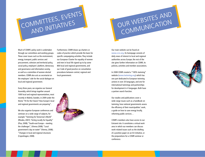

## OUR WEBSITES AND OUR WEBSITES AND

Much of CEMR's policy work is undertaken through our committees and working groups. These cover issues such as the environment, energy, transport, public services and procurement, cohesion and territorial policy, social policy, employers' platform, democracy and governance and information society, as well as a committee of women elected members. CEMR also acts as secretariat on the employers' side for the social dialogue on local and regional government.

Every three years, we organise our General Assembly, which brings together around 1000 local and regional representatives, most recently in Malmö, Sweden, in 2009 under the theme "Fit for the Future? How Europe's local and regional governments are preparing".

We also organise European conferences and seminars on a wide range of subjects, for example "Twinning for Tomorrow's World" (Rhodes, 2007); "Acting Locally for Equality" (Pisa, 2008); "South-east Europe – meeting the challenges", (Vienna 2008); "Local government's day on water" (Vienna, 2008); "Changes in local and regional structures (Copenhagen, 2008).

Furthermore, CEMR draws up charters or codes of practice which provide the basis for specific campaigning activities. They include our European Charter for equality of women and men in local life signed up to by some 800 local and regional governments, and our Code of good practice on consultation procedures between central, regional and local government.



Our main website can be found at: **www.ccre.org**. Its homepage consists of daily news of interest to local and regional authorities across Europe; the rest of the site gives further information on CEMR, its policies, activities and member associations.

In 2008 CEMR created a "100% twinning" website (**www.twinning.org**) which has one part dedicated to European twinning actions in over 20 languages, and one for international twinnings and partnerships for development in 4 languages. Both have a partner search function.

Our studies and publications cover a wide range issues such as a handbook on twinning, how national governments assess the efficiency of their municipalities' work, a guide on how to save energy locally, reforming public services…

CEMR's members also have access to our Extranet site. It constitutes a virtual work area in which our members can discuss work-related issues such as the drafting of a position paper on an EU initiative, or the preparations for a CEMR seminar or conference.